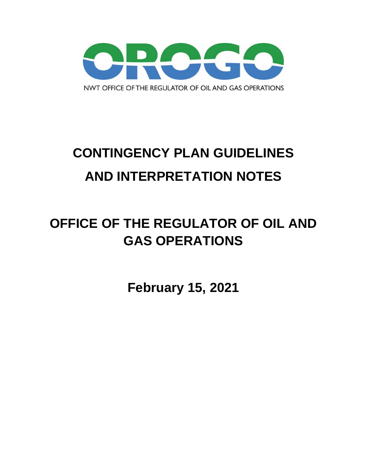

# **CONTINGENCY PLAN GUIDELINES AND INTERPRETATION NOTES**

## **OFFICE OF THE REGULATOR OF OIL AND GAS OPERATIONS**

**February 15, 2021**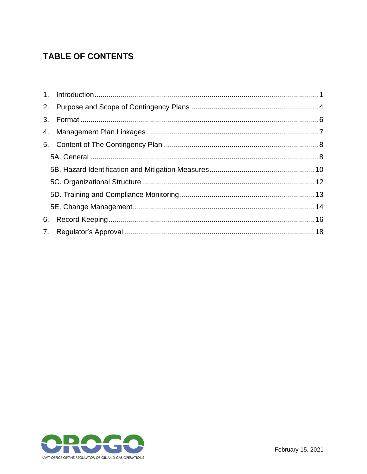#### **TABLE OF CONTENTS**

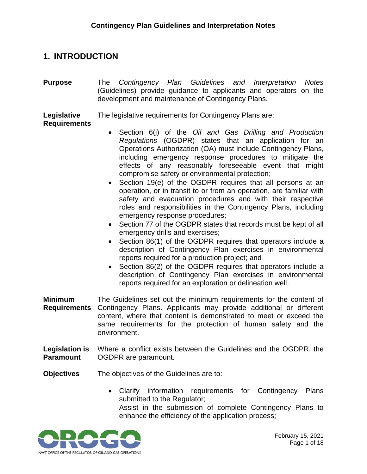#### <span id="page-2-0"></span>**1. INTRODUCTION**

**Purpose** The *Contingency Plan Guidelines and Interpretation Notes* (Guidelines) provide guidance to applicants and operators on the development and maintenance of Contingency Plans.

**Legislative**  The legislative requirements for Contingency Plans are:

#### **Requirements**

- Section 6(j) of the *Oil and Gas Drilling and Production Regulations* (OGDPR) states that an application for an Operations Authorization (OA) must include Contingency Plans, including emergency response procedures to mitigate the effects of any reasonably foreseeable event that might compromise safety or environmental protection;
- Section 19(e) of the OGDPR requires that all persons at an operation, or in transit to or from an operation, are familiar with safety and evacuation procedures and with their respective roles and responsibilities in the Contingency Plans, including emergency response procedures;
- Section 77 of the OGDPR states that records must be kept of all emergency drills and exercises;
- Section 86(1) of the OGDPR requires that operators include a description of Contingency Plan exercises in environmental reports required for a production project; and
- Section 86(2) of the OGDPR requires that operators include a description of Contingency Plan exercises in environmental reports required for an exploration or delineation well.
- **Minimum Requirements** The Guidelines set out the minimum requirements for the content of Contingency Plans. Applicants may provide additional or different content, where that content is demonstrated to meet or exceed the same requirements for the protection of human safety and the environment.
- **Legislation is Paramount** Where a conflict exists between the Guidelines and the OGDPR, the OGDPR are paramount.

**Objectives** The objectives of the Guidelines are to:

• Clarify information requirements for Contingency Plans submitted to the Regulator;

Assist in the submission of complete Contingency Plans to enhance the efficiency of the application process;

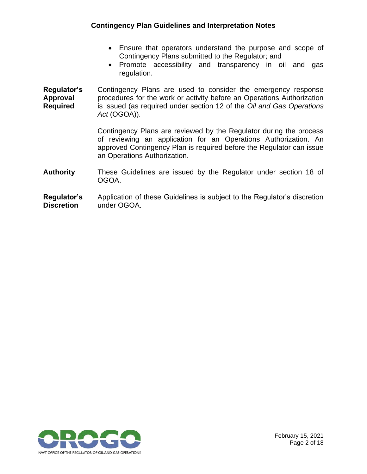- Ensure that operators understand the purpose and scope of Contingency Plans submitted to the Regulator; and
- Promote accessibility and transparency in oil and gas regulation.

**Regulator's Approval Required** Contingency Plans are used to consider the emergency response procedures for the work or activity before an Operations Authorization is issued (as required under section 12 of the *Oil and Gas Operations Act* (OGOA)).

> Contingency Plans are reviewed by the Regulator during the process of reviewing an application for an Operations Authorization. An approved Contingency Plan is required before the Regulator can issue an Operations Authorization.

**Authority** These Guidelines are issued by the Regulator under section 18 of OGOA.

#### **Regulator's Discretion** Application of these Guidelines is subject to the Regulator's discretion under OGOA.

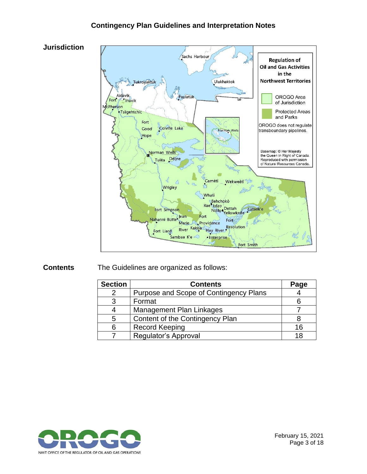#### **Contingency Plan Guidelines and Interpretation Notes**



**Contents** The Guidelines are organized as follows:

| <b>Section</b> | <b>Contents</b>                        | Page |
|----------------|----------------------------------------|------|
|                | Purpose and Scope of Contingency Plans |      |
| 3              | Format                                 |      |
|                | <b>Management Plan Linkages</b>        |      |
| 5              | Content of the Contingency Plan        |      |
|                | <b>Record Keeping</b>                  | 16   |
|                | Regulator's Approval                   | 18   |



February 15, 2021 Page 3 of 18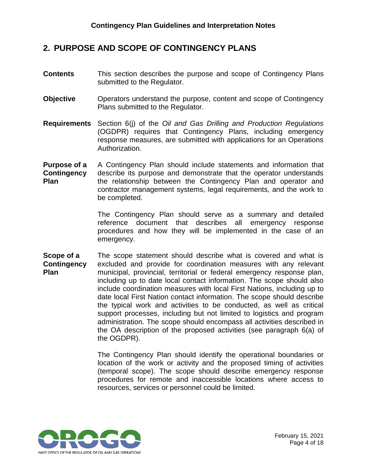#### <span id="page-5-0"></span>**2. PURPOSE AND SCOPE OF CONTINGENCY PLANS**

- **Contents** This section describes the purpose and scope of Contingency Plans submitted to the Regulator.
- **Objective** Operators understand the purpose, content and scope of Contingency Plans submitted to the Regulator.
- **Requirements** Section 6(j) of the *Oil and Gas Drilling and Production Regulations* (OGDPR) requires that Contingency Plans, including emergency response measures, are submitted with applications for an Operations Authorization.
- **Purpose of a Contingency Plan** A Contingency Plan should include statements and information that describe its purpose and demonstrate that the operator understands the relationship between the Contingency Plan and operator and contractor management systems, legal requirements, and the work to be completed.

The Contingency Plan should serve as a summary and detailed reference document that describes all emergency response procedures and how they will be implemented in the case of an emergency.

**Scope of a Contingency Plan** The scope statement should describe what is covered and what is excluded and provide for coordination measures with any relevant municipal, provincial, territorial or federal emergency response plan, including up to date local contact information. The scope should also include coordination measures with local First Nations, including up to date local First Nation contact information. The scope should describe the typical work and activities to be conducted, as well as critical support processes, including but not limited to logistics and program administration. The scope should encompass all activities described in the OA description of the proposed activities (see paragraph 6(a) of the OGDPR).

> The Contingency Plan should identify the operational boundaries or location of the work or activity and the proposed timing of activities (temporal scope). The scope should describe emergency response procedures for remote and inaccessible locations where access to resources, services or personnel could be limited.



February 15, 2021 Page 4 of 18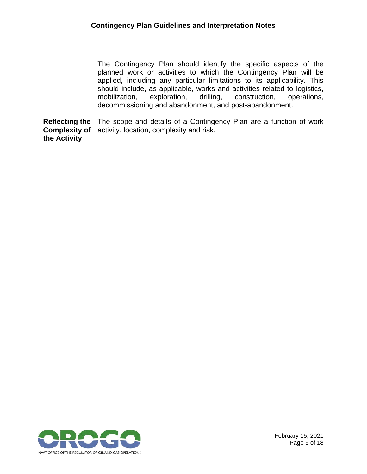The Contingency Plan should identify the specific aspects of the planned work or activities to which the Contingency Plan will be applied, including any particular limitations to its applicability. This should include, as applicable, works and activities related to logistics, mobilization, exploration, drilling, construction, operations, decommissioning and abandonment, and post-abandonment.

**Reflecting the Complexity of the Activity** The scope and details of a Contingency Plan are a function of work activity, location, complexity and risk.

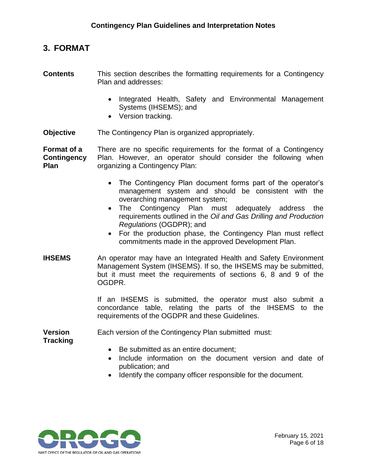#### <span id="page-7-0"></span>**3. FORMAT**

- **Contents** This section describes the formatting requirements for a Contingency Plan and addresses:
	- Integrated Health, Safety and Environmental Management Systems (IHSEMS); and
	- Version tracking.
- **Objective** The Contingency Plan is organized appropriately.

**Format of a Contingency Plan** There are no specific requirements for the format of a Contingency Plan. However, an operator should consider the following when organizing a Contingency Plan:

- The Contingency Plan document forms part of the operator's management system and should be consistent with the overarching management system;
- The Contingency Plan must adequately address the requirements outlined in the *Oil and Gas Drilling and Production Regulations* (OGDPR); and
- For the production phase, the Contingency Plan must reflect commitments made in the approved Development Plan.
- **IHSEMS** An operator may have an Integrated Health and Safety Environment Management System (IHSEMS). If so, the IHSEMS may be submitted, but it must meet the requirements of sections 6, 8 and 9 of the OGDPR.

If an IHSEMS is submitted, the operator must also submit a concordance table, relating the parts of the IHSEMS to the requirements of the OGDPR and these Guidelines.

**Version**  Each version of the Contingency Plan submitted must:

**Tracking**

- Be submitted as an entire document;
- Include information on the document version and date of publication; and
- Identify the company officer responsible for the document.

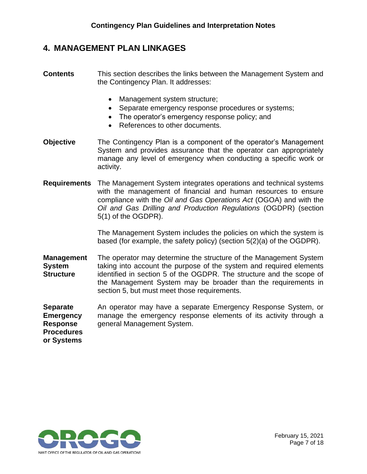#### <span id="page-8-0"></span>**4. MANAGEMENT PLAN LINKAGES**

- **Contents** This section describes the links between the Management System and the Contingency Plan. It addresses:
	- Management system structure;
	- Separate emergency response procedures or systems;
	- The operator's emergency response policy; and
	- References to other documents.
- **Objective** The Contingency Plan is a component of the operator's Management System and provides assurance that the operator can appropriately manage any level of emergency when conducting a specific work or activity.
- **Requirements** The Management System integrates operations and technical systems with the management of financial and human resources to ensure compliance with the *Oil and Gas Operations Act* (OGOA) and with the *Oil and Gas Drilling and Production Regulations* (OGDPR) (section 5(1) of the OGDPR).

The Management System includes the policies on which the system is based (for example, the safety policy) (section 5(2)(a) of the OGDPR).

- **Management System Structure** The operator may determine the structure of the Management System taking into account the purpose of the system and required elements identified in section 5 of the OGDPR. The structure and the scope of the Management System may be broader than the requirements in section 5, but must meet those requirements.
- **Separate Emergency Response Procedures**  An operator may have a separate Emergency Response System, or manage the emergency response elements of its activity through a general Management System.

**or Systems** 

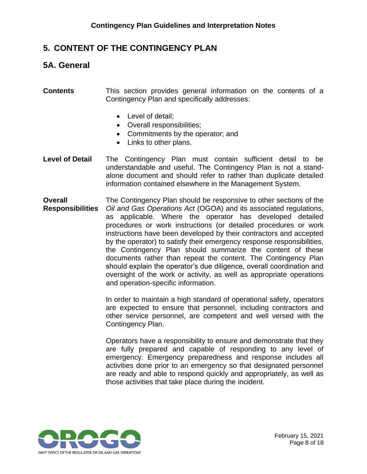#### <span id="page-9-0"></span>**5. CONTENT OF THE CONTINGENCY PLAN**

#### <span id="page-9-1"></span>**5A. General**

**Contents** This section provides general information on the contents of a Contingency Plan and specifically addresses:

- Level of detail;
- Overall responsibilities;
- Commitments by the operator; and
- Links to other plans.
- **Level of Detail** The Contingency Plan must contain sufficient detail to be understandable and useful. The Contingency Plan is not a standalone document and should refer to rather than duplicate detailed information contained elsewhere in the Management System.
- **Overall Responsibilities** The Contingency Plan should be responsive to other sections of the *Oil and Gas Operations Act* (OGOA) and its associated regulations, as applicable. Where the operator has developed detailed procedures or work instructions (or detailed procedures or work instructions have been developed by their contractors and accepted by the operator) to satisfy their emergency response responsibilities, the Contingency Plan should summarize the content of these documents rather than repeat the content. The Contingency Plan should explain the operator's due diligence, overall coordination and oversight of the work or activity, as well as appropriate operations and operation-specific information.

In order to maintain a high standard of operational safety, operators are expected to ensure that personnel, including contractors and other service personnel, are competent and well versed with the Contingency Plan.

Operators have a responsibility to ensure and demonstrate that they are fully prepared and capable of responding to any level of emergency. Emergency preparedness and response includes all activities done prior to an emergency so that designated personnel are ready and able to respond quickly and appropriately, as well as those activities that take place during the incident.

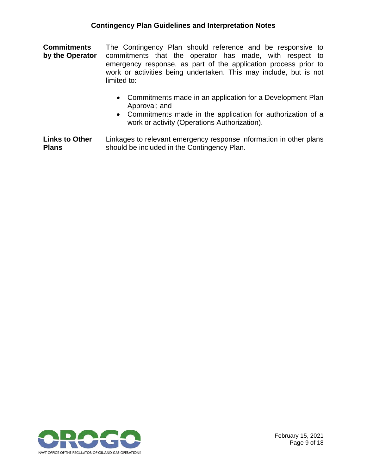**Commitments by the Operator** The Contingency Plan should reference and be responsive to commitments that the operator has made, with respect to emergency response, as part of the application process prior to work or activities being undertaken. This may include, but is not limited to:

- Commitments made in an application for a Development Plan Approval; and
- Commitments made in the application for authorization of a work or activity (Operations Authorization).

**Links to Other Plans** Linkages to relevant emergency response information in other plans should be included in the Contingency Plan.

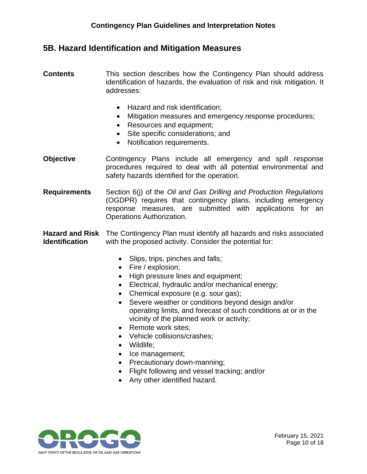#### <span id="page-11-0"></span>**5B. Hazard Identification and Mitigation Measures**

- **Contents** This section describes how the Contingency Plan should address identification of hazards, the evaluation of risk and risk mitigation. It addresses:
	- Hazard and risk identification;
	- Mitigation measures and emergency response procedures;
	- Resources and equipment;
	- Site specific considerations; and
	- Notification requirements.
- **Objective** Contingency Plans include all emergency and spill response procedures required to deal with all potential environmental and safety hazards identified for the operation.
- **Requirements** Section 6(j) of the *Oil and Gas Drilling and Production Regulations* (OGDPR) requires that contingency plans, including emergency response measures, are submitted with applications for an Operations Authorization.

**Hazard and Risk**  The Contingency Plan must identify all hazards and risks associated **Identification**  with the proposed activity. Consider the potential for:

- Slips, trips, pinches and falls;
- Fire / explosion;
- High pressure lines and equipment;
- Electrical, hydraulic and/or mechanical energy;
- Chemical exposure (e.g. sour gas);
- Severe weather or conditions beyond design and/or operating limits, and forecast of such conditions at or in the vicinity of the planned work or activity;
- Remote work sites:
- Vehicle collisions/crashes;
- Wildlife;
- Ice management;
- Precautionary down-manning;
- Flight following and vessel tracking; and/or
- Any other identified hazard.

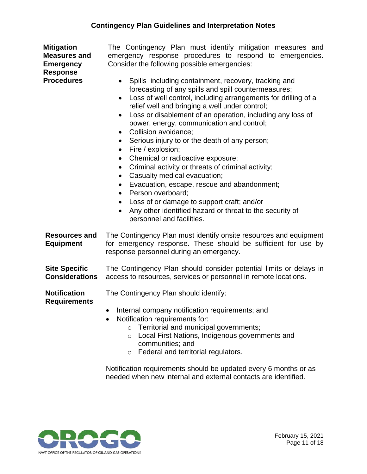| <b>Mitigation</b><br><b>Measures and</b><br><b>Emergency</b><br><b>Response</b><br><b>Procedures</b> | The Contingency Plan must identify mitigation measures and<br>emergency response procedures to respond to emergencies.<br>Consider the following possible emergencies:<br>Spills including containment, recovery, tracking and<br>$\bullet$<br>forecasting of any spills and spill countermeasures;<br>Loss of well control, including arrangements for drilling of a<br>$\bullet$<br>relief well and bringing a well under control;<br>Loss or disablement of an operation, including any loss of<br>$\bullet$<br>power, energy, communication and control;<br>Collision avoidance;<br>$\bullet$<br>Serious injury to or the death of any person;<br>$\bullet$<br>Fire / explosion;<br>$\bullet$<br>Chemical or radioactive exposure;<br>$\bullet$<br>Criminal activity or threats of criminal activity;<br>$\bullet$<br>Casualty medical evacuation;<br>$\bullet$<br>Evacuation, escape, rescue and abandonment;<br>$\bullet$<br>Person overboard;<br>$\bullet$<br>Loss of or damage to support craft; and/or<br>$\bullet$<br>Any other identified hazard or threat to the security of<br>personnel and facilities. |
|------------------------------------------------------------------------------------------------------|-----------------------------------------------------------------------------------------------------------------------------------------------------------------------------------------------------------------------------------------------------------------------------------------------------------------------------------------------------------------------------------------------------------------------------------------------------------------------------------------------------------------------------------------------------------------------------------------------------------------------------------------------------------------------------------------------------------------------------------------------------------------------------------------------------------------------------------------------------------------------------------------------------------------------------------------------------------------------------------------------------------------------------------------------------------------------------------------------------------------------|
| <b>Resources and</b><br><b>Equipment</b>                                                             | The Contingency Plan must identify onsite resources and equipment<br>for emergency response. These should be sufficient for use by<br>response personnel during an emergency.                                                                                                                                                                                                                                                                                                                                                                                                                                                                                                                                                                                                                                                                                                                                                                                                                                                                                                                                         |
| <b>Site Specific</b><br><b>Considerations</b>                                                        | The Contingency Plan should consider potential limits or delays in<br>access to resources, services or personnel in remote locations.                                                                                                                                                                                                                                                                                                                                                                                                                                                                                                                                                                                                                                                                                                                                                                                                                                                                                                                                                                                 |
| <b>Notification</b><br><b>Requirements</b>                                                           | The Contingency Plan should identify:<br>Internal company notification requirements; and<br>Notification requirements for:<br>Territorial and municipal governments;<br>$\circ$<br>Local First Nations, Indigenous governments and<br>$\circ$<br>communities; and<br>Federal and territorial regulators.<br>$\circ$                                                                                                                                                                                                                                                                                                                                                                                                                                                                                                                                                                                                                                                                                                                                                                                                   |

Notification requirements should be updated every 6 months or as needed when new internal and external contacts are identified.

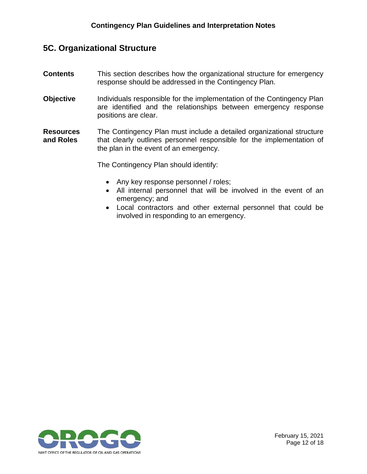#### <span id="page-13-0"></span>**5C. Organizational Structure**

- **Contents** This section describes how the organizational structure for emergency response should be addressed in the Contingency Plan.
- **Objective** Individuals responsible for the implementation of the Contingency Plan are identified and the relationships between emergency response positions are clear.
- **Resources and Roles** The Contingency Plan must include a detailed organizational structure that clearly outlines personnel responsible for the implementation of the plan in the event of an emergency.

The Contingency Plan should identify:

- Any key response personnel / roles;
- All internal personnel that will be involved in the event of an emergency; and
- Local contractors and other external personnel that could be involved in responding to an emergency.

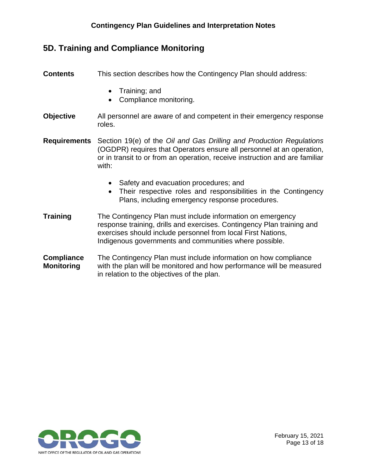#### **Contingency Plan Guidelines and Interpretation Notes**

### <span id="page-14-0"></span>**5D. Training and Compliance Monitoring**

| <b>Contents</b>                        | This section describes how the Contingency Plan should address:                                                                                                                                                                                                |
|----------------------------------------|----------------------------------------------------------------------------------------------------------------------------------------------------------------------------------------------------------------------------------------------------------------|
|                                        | Training; and<br>$\bullet$<br>Compliance monitoring.<br>$\bullet$                                                                                                                                                                                              |
| <b>Objective</b>                       | All personnel are aware of and competent in their emergency response<br>roles.                                                                                                                                                                                 |
| <b>Requirements</b>                    | Section 19(e) of the Oil and Gas Drilling and Production Regulations<br>(OGDPR) requires that Operators ensure all personnel at an operation,<br>or in transit to or from an operation, receive instruction and are familiar<br>with:                          |
|                                        | Safety and evacuation procedures; and<br>Their respective roles and responsibilities in the Contingency<br>Plans, including emergency response procedures.                                                                                                     |
| <b>Training</b>                        | The Contingency Plan must include information on emergency<br>response training, drills and exercises. Contingency Plan training and<br>exercises should include personnel from local First Nations,<br>Indigenous governments and communities where possible. |
| <b>Compliance</b><br><b>Monitoring</b> | The Contingency Plan must include information on how compliance<br>with the plan will be monitored and how performance will be measured<br>in relation to the objectives of the plan.                                                                          |

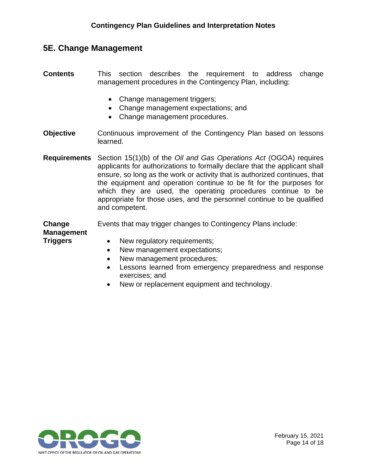#### <span id="page-15-0"></span>**5E. Change Management**

- **Contents** This section describes the requirement to address change management procedures in the Contingency Plan, including:
	- Change management triggers;
	- Change management expectations; and
	- Change management procedures.
- **Objective** Continuous improvement of the Contingency Plan based on lessons learned.
- **Requirements** Section 15(1)(b) of the *Oil and Gas Operations Act* (OGOA) requires applicants for authorizations to formally declare that the applicant shall ensure, so long as the work or activity that is authorized continues, that the equipment and operation continue to be fit for the purposes for which they are used, the operating procedures continue to be appropriate for those uses, and the personnel continue to be qualified and competent.

**Change**  Events that may trigger changes to Contingency Plans include:

**Management Triggers**

- New regulatory requirements;
- New management expectations;
- New management procedures;
- Lessons learned from emergency preparedness and response exercises; and
- New or replacement equipment and technology.

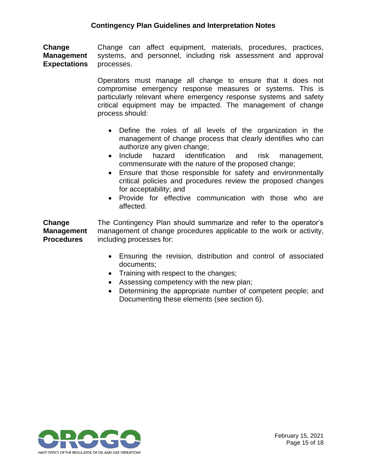**Change Management Expectations**  Change can affect equipment, materials, procedures, practices, systems, and personnel, including risk assessment and approval processes.

> Operators must manage all change to ensure that it does not compromise emergency response measures or systems. This is particularly relevant where emergency response systems and safety critical equipment may be impacted. The management of change process should:

- Define the roles of all levels of the organization in the management of change process that clearly identifies who can authorize any given change;
- Include hazard identification and risk management, commensurate with the nature of the proposed change;
- Ensure that those responsible for safety and environmentally critical policies and procedures review the proposed changes for acceptability; and
- Provide for effective communication with those who are affected.

**Change Management Procedures** The Contingency Plan should summarize and refer to the operator's management of change procedures applicable to the work or activity, including processes for:

- Ensuring the revision, distribution and control of associated documents;
- Training with respect to the changes;
- Assessing competency with the new plan;
- <span id="page-16-0"></span>• Determining the appropriate number of competent people; and Documenting these elements (see section 6).

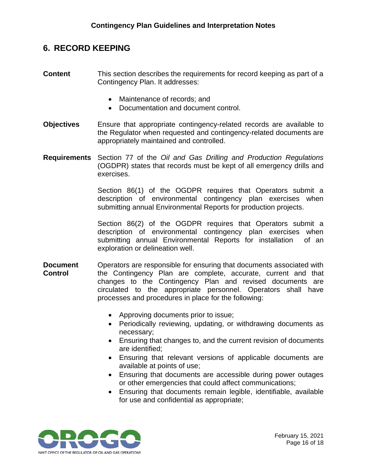#### **6. RECORD KEEPING**

- **Content** This section describes the requirements for record keeping as part of a Contingency Plan. It addresses:
	- Maintenance of records; and
	- Documentation and document control.
- **Objectives** Ensure that appropriate contingency-related records are available to the Regulator when requested and contingency-related documents are appropriately maintained and controlled.
- **Requirements** Section 77 of the *Oil and Gas Drilling and Production Regulations* (OGDPR) states that records must be kept of all emergency drills and exercises.

Section 86(1) of the OGDPR requires that Operators submit a description of environmental contingency plan exercises when submitting annual Environmental Reports for production projects.

Section 86(2) of the OGDPR requires that Operators submit a description of environmental contingency plan exercises when submitting annual Environmental Reports for installation of an exploration or delineation well.

- **Document Control** Operators are responsible for ensuring that documents associated with the Contingency Plan are complete, accurate, current and that changes to the Contingency Plan and revised documents are circulated to the appropriate personnel. Operators shall have processes and procedures in place for the following:
	- Approving documents prior to issue;
	- Periodically reviewing, updating, or withdrawing documents as necessary;
	- Ensuring that changes to, and the current revision of documents are identified;
	- Ensuring that relevant versions of applicable documents are available at points of use;
	- Ensuring that documents are accessible during power outages or other emergencies that could affect communications;
	- Ensuring that documents remain legible, identifiable, available for use and confidential as appropriate;

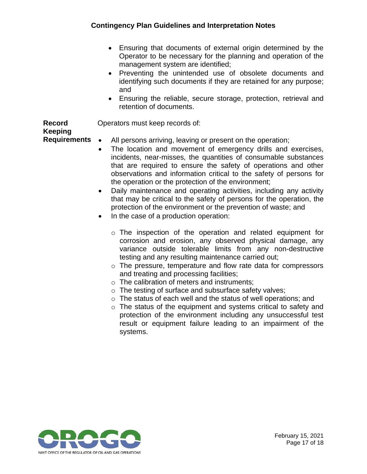#### **Contingency Plan Guidelines and Interpretation Notes**

- Ensuring that documents of external origin determined by the Operator to be necessary for the planning and operation of the management system are identified;
- Preventing the unintended use of obsolete documents and identifying such documents if they are retained for any purpose; and
- Ensuring the reliable, secure storage, protection, retrieval and retention of documents.

Operators must keep records of:

#### **Record Keeping**

**Requirements**

- All persons arriving, leaving or present on the operation;
- The location and movement of emergency drills and exercises, incidents, near-misses, the quantities of consumable substances that are required to ensure the safety of operations and other observations and information critical to the safety of persons for the operation or the protection of the environment;
- Daily maintenance and operating activities, including any activity that may be critical to the safety of persons for the operation, the protection of the environment or the prevention of waste; and
- In the case of a production operation:
	- o The inspection of the operation and related equipment for corrosion and erosion, any observed physical damage, any variance outside tolerable limits from any non-destructive testing and any resulting maintenance carried out;
	- o The pressure, temperature and flow rate data for compressors and treating and processing facilities;
	- o The calibration of meters and instruments;
	- o The testing of surface and subsurface safety valves;
	- o The status of each well and the status of well operations; and
	- o The status of the equipment and systems critical to safety and protection of the environment including any unsuccessful test result or equipment failure leading to an impairment of the systems.